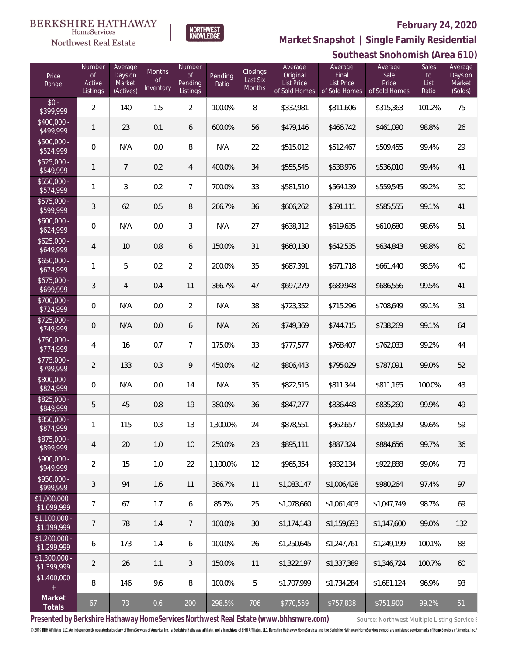

 $\label{lem:sevices} \textsc{Home} \textsc{Service} \textsc{s}$ Northwest Real Estate

## **Southeast Snohomish (Area 610) Market Snapshot | Single Family Residential**

|                               |                                           |                                           |                                  |                                     |                  |                                |                                                    |                                                 | <u>JUULIITTUJI UITUITIIJI (ALTU UTU)</u>  |                                     |                                         |  |  |  |
|-------------------------------|-------------------------------------------|-------------------------------------------|----------------------------------|-------------------------------------|------------------|--------------------------------|----------------------------------------------------|-------------------------------------------------|-------------------------------------------|-------------------------------------|-----------------------------------------|--|--|--|
| Price<br>Range                | Number<br><b>of</b><br>Active<br>Listings | Average<br>Days on<br>Market<br>(Actives) | Months<br><b>of</b><br>Inventory | Number<br>of<br>Pending<br>Listings | Pending<br>Ratio | Closings<br>Last Six<br>Months | Average<br>Original<br>List Price<br>of Sold Homes | Average<br>Final<br>List Price<br>of Sold Homes | Average<br>Sale<br>Price<br>of Sold Homes | <b>Sales</b><br>to<br>List<br>Ratio | Average<br>Days on<br>Market<br>(Solds) |  |  |  |
| $$0 -$<br>\$399,999           | 2                                         | 140                                       | 1.5                              | $\overline{2}$                      | 100.0%           | 8                              | \$332,981                                          | \$311,606                                       | \$315,363                                 | 101.2%                              | 75                                      |  |  |  |
| $$400,000 -$<br>\$499,999     | 1                                         | 23                                        | 0.1                              | 6                                   | 600.0%           | 56                             | \$479,146                                          | \$466,742                                       | \$461,090                                 | 98.8%                               | 26                                      |  |  |  |
| $$500,000 -$<br>\$524,999     | 0                                         | N/A                                       | 0.0                              | 8                                   | N/A              | 22                             | \$515,012                                          | \$512,467                                       | \$509,455                                 | 99.4%                               | 29                                      |  |  |  |
| $$525,000 -$<br>\$549,999     | 1                                         | $\overline{7}$                            | 0.2                              | $\overline{4}$                      | 400.0%           | 34                             | \$555,545                                          | \$538,976                                       | \$536,010                                 | 99.4%                               | 41                                      |  |  |  |
| $$550,000 -$<br>\$574,999     | 1                                         | 3                                         | 0.2                              | $\overline{7}$                      | 700.0%           | 33                             | \$581,510                                          | \$564,139                                       | \$559,545                                 | 99.2%                               | 30                                      |  |  |  |
| $$575,000 -$<br>\$599,999     | 3                                         | 62                                        | 0.5                              | 8                                   | 266.7%           | 36                             | \$606,262                                          | \$591,111                                       | \$585,555                                 | 99.1%                               | 41                                      |  |  |  |
| $$600,000 -$<br>\$624,999     | 0                                         | N/A                                       | 0.0                              | 3                                   | N/A              | 27                             | \$638,312                                          | \$619,635                                       | \$610,680                                 | 98.6%                               | 51                                      |  |  |  |
| $$625,000 -$<br>\$649,999     | $\overline{4}$                            | 10                                        | 0.8                              | 6                                   | 150.0%           | 31                             | \$660,130                                          | \$642,535                                       | \$634,843                                 | 98.8%                               | 60                                      |  |  |  |
| $$650,000 -$<br>\$674,999     | 1                                         | 5                                         | 0.2                              | $\overline{2}$                      | 200.0%           | 35                             | \$687,391                                          | \$671,718                                       | \$661,440                                 | 98.5%                               | 40                                      |  |  |  |
| $$675,000 -$<br>\$699,999     | 3                                         | 4                                         | 0.4                              | 11                                  | 366.7%           | 47                             | \$697,279                                          | \$689,948                                       | \$686,556                                 | 99.5%                               | 41                                      |  |  |  |
| $$700,000 -$<br>\$724,999     | $\mathbf 0$                               | N/A                                       | 0.0                              | $\overline{2}$                      | N/A              | 38                             | \$723,352                                          | \$715,296                                       | \$708,649                                 | 99.1%                               | 31                                      |  |  |  |
| $$725,000 -$<br>\$749,999     | $\mathbf 0$                               | N/A                                       | 0.0                              | 6                                   | N/A              | 26                             | \$749,369                                          | \$744,715                                       | \$738,269                                 | 99.1%                               | 64                                      |  |  |  |
| \$750,000 -<br>\$774,999      | 4                                         | 16                                        | 0.7                              | $\overline{7}$                      | 175.0%           | 33                             | \$777,577                                          | \$768,407                                       | \$762,033                                 | 99.2%                               | 44                                      |  |  |  |
| $$775,000 -$<br>\$799,999     | $\overline{2}$                            | 133                                       | 0.3                              | 9                                   | 450.0%           | 42                             | \$806,443                                          | \$795,029                                       | \$787,091                                 | 99.0%                               | 52                                      |  |  |  |
| \$800,000 -<br>\$824,999      | $\mathbf 0$                               | N/A                                       | 0.0                              | 14                                  | N/A              | 35                             | \$822,515                                          | \$811,344                                       | \$811,165                                 | 100.0%                              | 43                                      |  |  |  |
| $$825,000 -$<br>\$849,999     | 5                                         | 45                                        | 0.8                              | 19                                  | 380.0%           | 36                             | \$847,277                                          | \$836,448                                       | \$835,260                                 | 99.9%                               | 49                                      |  |  |  |
| \$850,000 -<br>\$874,999      |                                           | 115                                       | 0.3                              | 13                                  | 1,300.0%         | 24                             | \$878,551                                          | \$862,657                                       | \$859,139                                 | 99.6%                               | 59                                      |  |  |  |
| \$875,000 -<br>\$899,999      | $\overline{4}$                            | 20                                        | 1.0                              | 10                                  | 250.0%           | 23                             | \$895,111                                          | \$887,324                                       | \$884,656                                 | 99.7%                               | 36                                      |  |  |  |
| \$900,000 -<br>\$949,999      | $\overline{2}$                            | 15                                        | 1.0                              | 22                                  | 1,100.0%         | 12                             | \$965,354                                          | \$932,134                                       | \$922,888                                 | 99.0%                               | 73                                      |  |  |  |
| \$950,000 -<br>\$999,999      | 3                                         | 94                                        | 1.6                              | 11                                  | 366.7%           | 11                             | \$1,083,147                                        | \$1,006,428                                     | \$980,264                                 | 97.4%                               | 97                                      |  |  |  |
| $$1,000,000 -$<br>\$1,099,999 | $\overline{7}$                            | 67                                        | 1.7                              | 6                                   | 85.7%            | 25                             | \$1,078,660                                        | \$1,061,403                                     | \$1,047,749                               | 98.7%                               | 69                                      |  |  |  |
| $$1,100,000 -$<br>\$1,199,999 | $\overline{7}$                            | 78                                        | 1.4                              | $\overline{7}$                      | 100.0%           | $30\,$                         | \$1,174,143                                        | \$1,159,693                                     | \$1,147,600                               | 99.0%                               | 132                                     |  |  |  |
| \$1,200,000 -<br>\$1,299,999  | 6                                         | 173                                       | 1.4                              | 6                                   | 100.0%           | 26                             | \$1,250,645                                        | \$1,247,761                                     | \$1,249,199                               | 100.1%                              | 88                                      |  |  |  |
| \$1,300,000 -<br>\$1,399,999  | $\overline{2}$                            | 26                                        | 1.1                              | 3                                   | 150.0%           | 11                             | \$1,322,197                                        | \$1,337,389                                     | \$1,346,724                               | 100.7%                              | 60                                      |  |  |  |
| \$1,400,000<br>$+$            | 8                                         | 146                                       | 9.6                              | 8                                   | 100.0%           | 5                              | \$1,707,999                                        | \$1,734,284                                     | \$1,681,124                               | 96.9%                               | 93                                      |  |  |  |
| Market<br>Totals              | 67                                        | 73                                        | 0.6                              | 200                                 | 298.5%           | 706                            | \$770,559                                          | \$757,838                                       | \$751,900                                 | 99.2%                               | 51                                      |  |  |  |

Presented by Berkshire Hathaway HomeServices Northwest Real Estate (www.bhhsnwre.com) Source: Northwest Multiple Listing Service®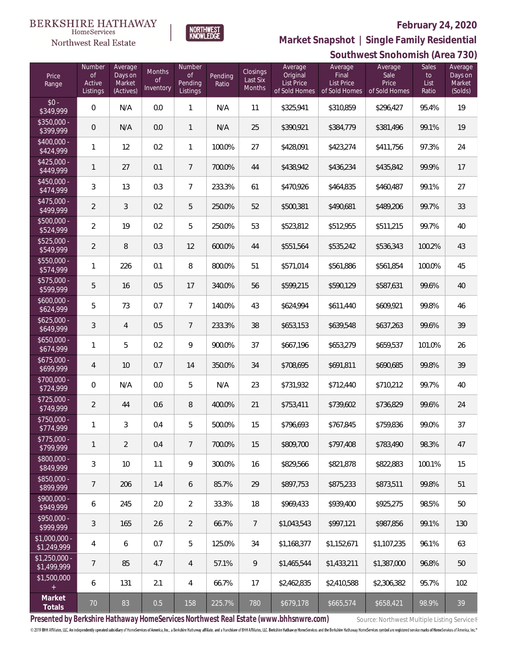

 $\label{lem:sevices} \textsc{Home} \textsc{Service} \textsc{s}$ 

**Southwest Snohomish (Area 730) Market Snapshot | Single Family Residential**

|                               |                                           |                                           |                                  |                                                       |                  |                                       |                                                           |                                                        | JUULIIWEST JIIUI IUI IUI II (ALEA 7 JU)   |                                     |                                         |
|-------------------------------|-------------------------------------------|-------------------------------------------|----------------------------------|-------------------------------------------------------|------------------|---------------------------------------|-----------------------------------------------------------|--------------------------------------------------------|-------------------------------------------|-------------------------------------|-----------------------------------------|
| Price<br>Range                | Number<br>$\circ$ f<br>Active<br>Listings | Average<br>Days on<br>Market<br>(Actives) | Months<br>$\circ$ f<br>Inventory | Number<br>$\mathsf{of}$<br>Pending<br><b>Listings</b> | Pending<br>Ratio | Closings<br>Last Six<br><b>Months</b> | Average<br>Original<br><b>List Price</b><br>of Sold Homes | Average<br>Final<br><b>List Price</b><br>of Sold Homes | Average<br>Sale<br>Price<br>of Sold Homes | <b>Sales</b><br>to<br>List<br>Ratio | Average<br>Days on<br>Market<br>(Solds) |
| $$0 -$<br>\$349,999           | 0                                         | N/A                                       | 0.0                              | $\mathbf{1}$                                          | N/A              | 11                                    | \$325,941                                                 | \$310,859                                              | \$296,427                                 | 95.4%                               | 19                                      |
| $$350.000 -$<br>\$399,999     | $\theta$                                  | N/A                                       | 0.0                              | $\mathbf{1}$                                          | N/A              | 25                                    | \$390,921                                                 | \$384,779                                              | \$381,496                                 | 99.1%                               | 19                                      |
| $$400,000 -$<br>\$424,999     | 1                                         | 12                                        | 0.2                              | $\mathbf{1}$                                          | 100.0%           | 27                                    | \$428,091                                                 | \$423,274                                              | \$411,756                                 | 97.3%                               | 24                                      |
| $$425,000 -$<br>\$449,999     | 1                                         | 27                                        | 0.1                              | $\overline{7}$                                        | 700.0%           | 44                                    | \$438,942                                                 | \$436,234                                              | \$435,842                                 | 99.9%                               | 17                                      |
| $$450,000 -$<br>\$474,999     | 3                                         | 13                                        | 0.3                              | $\overline{7}$                                        | 233.3%           | 61                                    | \$470,926                                                 | \$464,835                                              | \$460,487                                 | 99.1%                               | 27                                      |
| $$475,000 -$<br>\$499,999     | 2                                         | 3                                         | 0.2                              | 5                                                     | 250.0%           | 52                                    | \$500,381                                                 | \$490,681                                              | \$489,206                                 | 99.7%                               | 33                                      |
| $$500,000 -$<br>\$524,999     | $\overline{2}$                            | 19                                        | 0.2                              | 5                                                     | 250.0%           | 53                                    | \$523,812                                                 | \$512,955                                              | \$511,215                                 | 99.7%                               | 40                                      |
| $$525,000 -$<br>\$549,999     | 2                                         | 8                                         | 0.3                              | 12                                                    | 600.0%           | 44                                    | \$551,564                                                 | \$535,242                                              | \$536,343                                 | 100.2%                              | 43                                      |
| $$550,000 -$<br>\$574,999     | 1                                         | 226                                       | 0.1                              | 8                                                     | 800.0%           | 51                                    | \$571,014                                                 | \$561,886                                              | \$561,854                                 | 100.0%                              | 45                                      |
| $$575,000 -$<br>\$599,999     | 5                                         | 16                                        | 0.5                              | 17                                                    | 340.0%           | 56                                    | \$599,215                                                 | \$590,129                                              | \$587,631                                 | 99.6%                               | 40                                      |
| $$600,000 -$<br>\$624,999     | 5                                         | 73                                        | 0.7                              | $\overline{7}$                                        | 140.0%           | 43                                    | \$624,994                                                 | \$611,440                                              | \$609,921                                 | 99.8%                               | 46                                      |
| $$625,000 -$<br>\$649,999     | 3                                         | $\overline{4}$                            | 0.5                              | $\overline{7}$                                        | 233.3%           | 38                                    | \$653,153                                                 | \$639,548                                              | \$637,263                                 | 99.6%                               | 39                                      |
| $$650,000 -$<br>\$674,999     | 1                                         | 5                                         | 0.2                              | 9                                                     | 900.0%           | 37                                    | \$667,196                                                 | \$653,279                                              | \$659,537                                 | 101.0%                              | 26                                      |
| $$675,000 -$<br>\$699,999     | 4                                         | 10                                        | 0.7                              | 14                                                    | 350.0%           | 34                                    | \$708,695                                                 | \$691,811                                              | \$690,685                                 | 99.8%                               | 39                                      |
| \$700,000 -<br>\$724,999      | $\overline{0}$                            | N/A                                       | 0.0                              | 5                                                     | N/A              | 23                                    | \$731,932                                                 | \$712,440                                              | \$710,212                                 | 99.7%                               | 40                                      |
| $$725,000 -$<br>\$749,999     | 2                                         | 44                                        | 0.6                              | $\, 8$                                                | 400.0%           | 21                                    | \$753,411                                                 | \$739,602                                              | \$736,829                                 | 99.6%                               | 24                                      |
| \$750,000 -<br>\$114,999      | 1                                         | 3                                         | 0.4                              | 5                                                     | 500.0%           | 15                                    | \$796,693                                                 | \$767,845                                              | \$759,836                                 | 99.0%                               | 37                                      |
| \$775,000 -<br>\$799,999      | 1                                         | $\overline{2}$                            | 0.4                              | $\overline{7}$                                        | 700.0%           | 15                                    | \$809,700                                                 | \$797,408                                              | \$783,490                                 | 98.3%                               | 47                                      |
| \$800,000 -<br>\$849,999      | 3                                         | 10                                        | 1.1                              | 9                                                     | 300.0%           | 16                                    | \$829,566                                                 | \$821,878                                              | \$822,883                                 | 100.1%                              | 15                                      |
| \$850,000 -<br>\$899,999      | 7                                         | 206                                       | 1.4                              | 6                                                     | 85.7%            | 29                                    | \$897,753                                                 | \$875,233                                              | \$873,511                                 | 99.8%                               | 51                                      |
| $$900,000 -$<br>\$949,999     | 6                                         | 245                                       | 2.0                              | $\overline{2}$                                        | 33.3%            | 18                                    | \$969,433                                                 | \$939,400                                              | \$925,275                                 | 98.5%                               | 50                                      |
| \$950,000 -<br>\$999,999      | 3                                         | 165                                       | 2.6                              | $\overline{2}$                                        | 66.7%            | $\overline{7}$                        | \$1,043,543                                               | \$997,121                                              | \$987,856                                 | 99.1%                               | 130                                     |
| \$1,000,000 -<br>\$1,249,999  | 4                                         | 6                                         | 0.7                              | 5                                                     | 125.0%           | 34                                    | \$1,168,377                                               | \$1,152,671                                            | \$1,107,235                               | 96.1%                               | 63                                      |
| $$1,250,000 -$<br>\$1,499,999 | 7                                         | 85                                        | 4.7                              | 4                                                     | 57.1%            | 9                                     | \$1,465,544                                               | \$1,433,211                                            | \$1,387,000                               | 96.8%                               | 50                                      |
| \$1,500,000<br>$+$            | 6                                         | 131                                       | 2.1                              | 4                                                     | 66.7%            | 17                                    | \$2,462,835                                               | \$2,410,588                                            | \$2,306,382                               | 95.7%                               | 102                                     |
| Market<br>Totals              | 70                                        | 83                                        | 0.5                              | 158                                                   | 225.7%           | 780                                   | \$679,178                                                 | \$665,574                                              | \$658,421                                 | 98.9%                               | 39                                      |

Presented by Berkshire Hathaway HomeServices Northwest Real Estate (www.bhhsnwre.com) Source: Northwest Multiple Listing Service®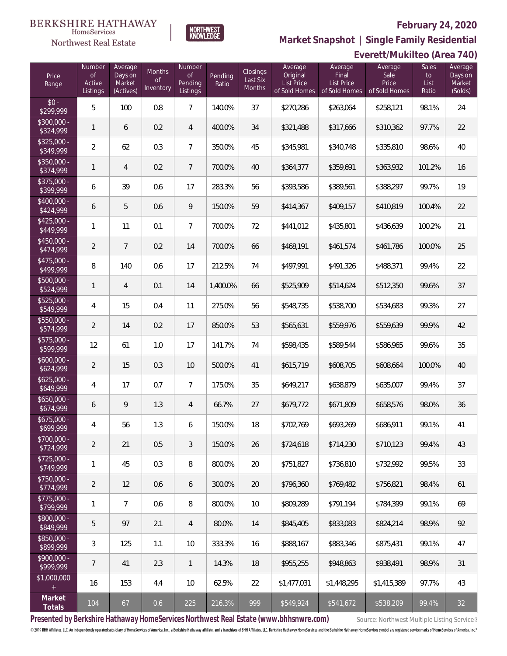

**Market Snapshot | Single Family Residential**

## $\label{lem:sevices} \textsc{Home} \textsc{Service} \textsc{s}$ Northwest Real Estate

**BERKSHIRE HATHAWAY** 

|                           | Everett/Mukilteo (Area 740)        |                                           |                                  |                                            |                  |                                |                                                    |                                                        |                                           |                                     |                                         |  |
|---------------------------|------------------------------------|-------------------------------------------|----------------------------------|--------------------------------------------|------------------|--------------------------------|----------------------------------------------------|--------------------------------------------------------|-------------------------------------------|-------------------------------------|-----------------------------------------|--|
| Price<br>Range            | Number<br>Οf<br>Active<br>Listings | Average<br>Days on<br>Market<br>(Actives) | Months<br><b>of</b><br>Inventory | Number<br><b>of</b><br>Pending<br>Listings | Pending<br>Ratio | Closings<br>Last Six<br>Months | Average<br>Original<br>List Price<br>of Sold Homes | Average<br>Final<br><b>List Price</b><br>of Sold Homes | Average<br>Sale<br>Price<br>of Sold Homes | <b>Sales</b><br>to<br>List<br>Ratio | Average<br>Days on<br>Market<br>(Solds) |  |
| $$0 -$<br>\$299,999       | 5                                  | 100                                       | 0.8                              | $\overline{7}$                             | 140.0%           | 37                             | \$270,286                                          | \$263,064                                              | \$258,121                                 | 98.1%                               | 24                                      |  |
| \$300,000 -<br>\$324,999  | $\mathbf{1}$                       | 6                                         | 0.2                              | 4                                          | 400.0%           | 34                             | \$321,488                                          | \$317,666                                              | \$310,362                                 | 97.7%                               | 22                                      |  |
| $$325,000 -$<br>\$349,999 | $\overline{2}$                     | 62                                        | 0.3                              | $\overline{7}$                             | 350.0%           | 45                             | \$345,981                                          | \$340,748                                              | \$335,810                                 | 98.6%                               | 40                                      |  |
| \$350,000 -<br>\$374,999  | $\mathbf{1}$                       | 4                                         | 0.2                              | $\overline{7}$                             | 700.0%           | 40                             | \$364,377                                          | \$359,691                                              | \$363,932                                 | 101.2%                              | 16                                      |  |
| \$375,000 -<br>\$399,999  | 6                                  | 39                                        | 0.6                              | 17                                         | 283.3%           | 56                             | \$393,586                                          | \$389,561                                              | \$388,297                                 | 99.7%                               | 19                                      |  |
| \$400,000 -<br>\$424,999  | 6                                  | 5                                         | 0.6                              | 9                                          | 150.0%           | 59                             | \$414,367                                          | \$409,157                                              | \$410,819                                 | 100.4%                              | 22                                      |  |
| $$425,000 -$<br>\$449,999 | 1                                  | 11                                        | 0.1                              | $\overline{7}$                             | 700.0%           | 72                             | \$441,012                                          | \$435,801                                              | \$436,639                                 | 100.2%                              | 21                                      |  |
| $$450,000 -$<br>\$474,999 | $\overline{2}$                     | $\overline{7}$                            | 0.2                              | 14                                         | 700.0%           | 66                             | \$468,191                                          | \$461,574                                              | \$461,786                                 | 100.0%                              | 25                                      |  |
| $$475,000 -$<br>\$499,999 | 8                                  | 140                                       | 0.6                              | 17                                         | 212.5%           | 74                             | \$497,991                                          | \$491,326                                              | \$488,371                                 | 99.4%                               | 22                                      |  |
| \$500,000 -<br>\$524,999  | 1                                  | $\overline{4}$                            | 0.1                              | 14                                         | 1,400.0%         | 66                             | \$525,909                                          | \$514,624                                              | \$512,350                                 | 99.6%                               | 37                                      |  |
| \$525,000 -<br>\$549,999  | 4                                  | 15                                        | 0.4                              | 11                                         | 275.0%           | 56                             | \$548,735                                          | \$538,700                                              | \$534,683                                 | 99.3%                               | 27                                      |  |
| \$550,000 -<br>\$574,999  | $\overline{2}$                     | 14                                        | 0.2                              | 17                                         | 850.0%           | 53                             | \$565,631                                          | \$559,976                                              | \$559,639                                 | 99.9%                               | 42                                      |  |
| $$575,000 -$<br>\$599,999 | 12                                 | 61                                        | 1.0                              | 17                                         | 141.7%           | 74                             | \$598,435                                          | \$589,544                                              | \$586,965                                 | 99.6%                               | 35                                      |  |
| $$600,000 -$<br>\$624,999 | $\overline{2}$                     | 15                                        | 0.3                              | 10                                         | 500.0%           | 41                             | \$615,719                                          | \$608,705                                              | \$608,664                                 | 100.0%                              | 40                                      |  |
| $$625,000 -$<br>\$649,999 | 4                                  | 17                                        | 0.7                              | $\overline{7}$                             | 175.0%           | 35                             | \$649,217                                          | \$638,879                                              | \$635,007                                 | 99.4%                               | 37                                      |  |
| $$650,000 -$<br>\$674,999 | 6                                  | 9                                         | 1.3                              | 4                                          | 66.7%            | 27                             | \$679,772                                          | \$671,809                                              | \$658,576                                 | 98.0%                               | 36                                      |  |
| \$675,000 -<br>\$699.999  | 4                                  | 56                                        | 1.3                              | 6                                          | 150.0%           | 18                             | \$702,769                                          | \$693,269                                              | \$686,911                                 | 99.1%                               | 41                                      |  |
| \$700,000 -<br>\$724,999  | $\overline{2}$                     | 21                                        | 0.5                              | $\mathfrak{Z}$                             | 150.0%           | 26                             | \$724,618                                          | \$714,230                                              | \$710,123                                 | 99.4%                               | 43                                      |  |
| $$725,000 -$<br>\$749,999 | 1                                  | 45                                        | 0.3                              | 8                                          | 800.0%           | 20                             | \$751,827                                          | \$736,810                                              | \$732,992                                 | 99.5%                               | 33                                      |  |
| $$750,000 -$<br>\$774,999 | $\overline{2}$                     | 12                                        | 0.6                              | 6                                          | 300.0%           | 20                             | \$796,360                                          | \$769,482                                              | \$756,821                                 | 98.4%                               | 61                                      |  |
| $$775,000 -$<br>\$799,999 | 1                                  | 7                                         | 0.6                              | $\, 8$                                     | 800.0%           | 10                             | \$809,289                                          | \$791,194                                              | \$784,399                                 | 99.1%                               | 69                                      |  |
| \$800,000 -<br>\$849,999  | 5                                  | 97                                        | 2.1                              | 4                                          | 80.0%            | 14                             | \$845,405                                          | \$833,083                                              | \$824,214                                 | 98.9%                               | 92                                      |  |
| \$850,000 -<br>\$899,999  | 3                                  | 125                                       | 1.1                              | 10                                         | 333.3%           | 16                             | \$888,167                                          | \$883,346                                              | \$875,431                                 | 99.1%                               | 47                                      |  |
| \$900,000 -<br>\$999,999  | $\overline{7}$                     | 41                                        | 2.3                              | $\mathbf{1}$                               | 14.3%            | 18                             | \$955,255                                          | \$948,863                                              | \$938,491                                 | 98.9%                               | 31                                      |  |
| \$1,000,000<br>$+$        | 16                                 | 153                                       | 4.4                              | 10                                         | 62.5%            | 22                             | \$1,477,031                                        | \$1,448,295                                            | \$1,415,389                               | 97.7%                               | 43                                      |  |
| Market<br>Totals          | 104                                | 67                                        | 0.6                              | 225                                        | 216.3%           | 999                            | \$549,924                                          | \$541,672                                              | \$538,209                                 | 99.4%                               | 32                                      |  |

Presented by Berkshire Hathaway HomeServices Northwest Real Estate (www.bhhsnwre.com) Source: Northwest Multiple Listing Service®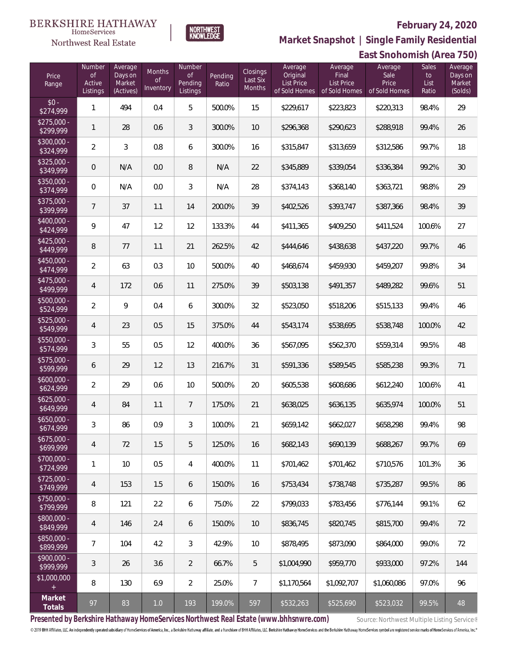

**East Snohomish (Area 750) Market Snapshot | Single Family Residential**

### **BERKSHIRE HATHAWAY**  $\label{lem:sevices} \textsc{Home} \textsc{Service} \textsc{s}$ Northwest Real Estate

| Price<br>Range            | Number<br>0f<br>Active<br>Listings | Average<br>Days on<br>Market<br>(Actives) | Months<br><b>of</b><br>Inventory | Number<br>$\mathsf{of}$<br>Pending<br>Listings | Pending<br>Ratio | Closings<br>Last Six<br>Months | Average<br>Original<br><b>List Price</b><br>of Sold Homes | Average<br>Final<br><b>List Price</b><br>of Sold Homes | Average<br>Sale<br>Price<br>of Sold Homes | <b>Sales</b><br>to<br>List<br>Ratio | Average<br>Days on<br>Market<br>(Solds) |
|---------------------------|------------------------------------|-------------------------------------------|----------------------------------|------------------------------------------------|------------------|--------------------------------|-----------------------------------------------------------|--------------------------------------------------------|-------------------------------------------|-------------------------------------|-----------------------------------------|
| $$0 -$<br>\$274,999       | $\mathbf{1}$                       | 494                                       | 0.4                              | 5                                              | 500.0%           | 15                             | \$229,617                                                 | \$223,823                                              | \$220,313                                 | 98.4%                               | 29                                      |
| $$275,000 -$<br>\$299,999 | $\mathbf{1}$                       | 28                                        | 0.6                              | $\mathfrak{Z}$                                 | 300.0%           | 10                             | \$296,368                                                 | \$290,623                                              | \$288,918                                 | 99.4%                               | 26                                      |
| \$300,000 -<br>\$324,999  | $\overline{2}$                     | 3                                         | 0.8                              | 6                                              | 300.0%           | 16                             | \$315,847                                                 | \$313,659                                              | \$312,586                                 | 99.7%                               | 18                                      |
| $$325,000 -$<br>\$349,999 | $\mathbf 0$                        | N/A                                       | 0.0                              | $\, 8$                                         | N/A              | 22                             | \$345,889                                                 | \$339,054                                              | \$336,384                                 | 99.2%                               | 30                                      |
| \$350,000 -<br>\$374,999  | $\mathbf 0$                        | N/A                                       | 0.0                              | $\mathfrak{Z}$                                 | N/A              | 28                             | \$374,143                                                 | \$368,140                                              | \$363,721                                 | 98.8%                               | 29                                      |
| $$375,000 -$<br>\$399,999 | 7                                  | 37                                        | 1.1                              | 14                                             | 200.0%           | 39                             | \$402,526                                                 | \$393,747                                              | \$387,366                                 | 98.4%                               | 39                                      |
| \$400,000 -<br>\$424,999  | 9                                  | 47                                        | 1.2                              | 12                                             | 133.3%           | 44                             | \$411,365                                                 | \$409,250                                              | \$411,524                                 | 100.6%                              | 27                                      |
| $$425,000 -$<br>\$449,999 | $\, 8$                             | 77                                        | 1.1                              | 21                                             | 262.5%           | 42                             | \$444,646                                                 | \$438,638                                              | \$437,220                                 | 99.7%                               | 46                                      |
| $$450,000 -$<br>\$474,999 | $\overline{2}$                     | 63                                        | 0.3                              | 10                                             | 500.0%           | 40                             | \$468,674                                                 | \$459,930                                              | \$459,207                                 | 99.8%                               | 34                                      |
| \$475,000 -<br>\$499,999  | 4                                  | 172                                       | 0.6                              | 11                                             | 275.0%           | 39                             | \$503,138                                                 | \$491,357                                              | \$489,282                                 | 99.6%                               | 51                                      |
| \$500,000 -<br>\$524,999  | $\overline{2}$                     | 9                                         | 0.4                              | 6                                              | 300.0%           | 32                             | \$523,050                                                 | \$518,206                                              | \$515,133                                 | 99.4%                               | 46                                      |
| \$525,000 -<br>\$549,999  | $\overline{4}$                     | 23                                        | 0.5                              | 15                                             | 375.0%           | 44                             | \$543,174                                                 | \$538,695                                              | \$538,748                                 | 100.0%                              | 42                                      |
| \$550,000 -<br>\$574,999  | $\mathfrak{Z}$                     | 55                                        | 0.5                              | 12                                             | 400.0%           | 36                             | \$567,095                                                 | \$562,370                                              | \$559,314                                 | 99.5%                               | 48                                      |
| \$575,000 -<br>\$599,999  | 6                                  | 29                                        | 1.2                              | 13                                             | 216.7%           | 31                             | \$591,336                                                 | \$589,545                                              | \$585,238                                 | 99.3%                               | 71                                      |
| $$600,000 -$<br>\$624,999 | $\overline{2}$                     | 29                                        | 0.6                              | 10                                             | 500.0%           | 20                             | \$605,538                                                 | \$608,686                                              | \$612,240                                 | 100.6%                              | 41                                      |
| $$625,000 -$<br>\$649,999 | 4                                  | 84                                        | 1.1                              | $\overline{7}$                                 | 175.0%           | 21                             | \$638,025                                                 | \$636,135                                              | \$635,974                                 | 100.0%                              | 51                                      |
| $$650,000 -$<br>\$674,999 | $\mathfrak{Z}$                     | 86                                        | 0.9                              | 3                                              | 100.0%           | 21                             | \$659,142                                                 | \$662,027                                              | \$658,298                                 | 99.4%                               | 98                                      |
| \$675,000 -<br>\$699,999  | $\overline{4}$                     | 72                                        | 1.5                              | 5                                              | 125.0%           | 16                             | \$682,143                                                 | \$690,139                                              | \$688,267                                 | 99.7%                               | 69                                      |
| \$700,000 -<br>\$724,999  | $\mathbf{1}$                       | 10                                        | 0.5                              | $\overline{4}$                                 | 400.0%           | 11                             | \$701,462                                                 | \$701,462                                              | \$710,576                                 | 101.3%                              | 36                                      |
| $$725,000 -$<br>\$749,999 | $\overline{4}$                     | 153                                       | 1.5                              | 6                                              | 150.0%           | 16                             | \$753,434                                                 | \$738,748                                              | \$735,287                                 | 99.5%                               | 86                                      |
| \$750,000 -<br>\$799,999  | $\, 8$                             | 121                                       | 2.2                              | 6                                              | 75.0%            | 22                             | \$799,033                                                 | \$783,456                                              | \$776,144                                 | 99.1%                               | 62                                      |
| \$800,000 -<br>\$849,999  | 4                                  | 146                                       | 2.4                              | $\boldsymbol{6}$                               | 150.0%           | 10                             | \$836,745                                                 | \$820,745                                              | \$815,700                                 | 99.4%                               | 72                                      |
| \$850,000 -<br>\$899,999  | $7\overline{ }$                    | 104                                       | 4.2                              | $\mathfrak{Z}$                                 | 42.9%            | 10                             | \$878,495                                                 | \$873,090                                              | \$864,000                                 | 99.0%                               | 72                                      |
| \$900,000 -<br>\$999,999  | $\mathfrak{Z}$                     | 26                                        | 3.6                              | $\overline{2}$                                 | 66.7%            | 5                              | \$1,004,990                                               | \$959,770                                              | \$933,000                                 | 97.2%                               | 144                                     |
| \$1,000,000<br>$\pm$      | 8                                  | 130                                       | 6.9                              | $\overline{2}$                                 | 25.0%            | $\overline{7}$                 | \$1,170,564                                               | \$1,092,707                                            | \$1,060,086                               | 97.0%                               | 96                                      |
| Market<br>Totals          | 97                                 | 83                                        | $1.0$                            | 193                                            | 199.0%           | 597                            | \$532,263                                                 | \$525,690                                              | \$523,032                                 | 99.5%                               | 48                                      |

Presented by Berkshire Hathaway HomeServices Northwest Real Estate (www.bhhsnwre.com) Source: Northwest Multiple Listing Service®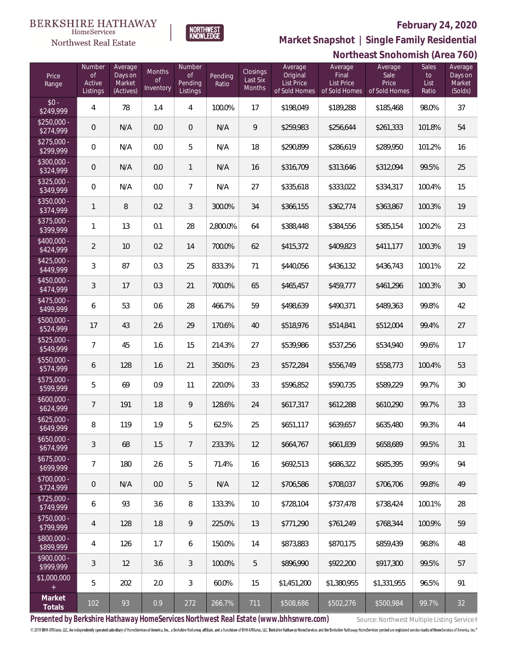Average Days on Market (Solds)



HomeServices Northwest Real Estate

# **(Area 760) Market Snapshot | Single Family Residential**

|                           |                                    |                                           |                                  |                                     |                  |                                |                                                    |                                                 | Northeast Snohomish (Area 7               |                              |                                |
|---------------------------|------------------------------------|-------------------------------------------|----------------------------------|-------------------------------------|------------------|--------------------------------|----------------------------------------------------|-------------------------------------------------|-------------------------------------------|------------------------------|--------------------------------|
| Price<br>Range            | Number<br>of<br>Active<br>Listings | Average<br>Days on<br>Market<br>(Actives) | Months<br><b>of</b><br>Inventory | Number<br>of<br>Pending<br>Listings | Pending<br>Ratio | Closings<br>Last Six<br>Months | Average<br>Original<br>List Price<br>of Sold Homes | Average<br>Final<br>List Price<br>of Sold Homes | Average<br>Sale<br>Price<br>of Sold Homes | Sales<br>to<br>List<br>Ratio | Avera<br>Days<br>Mark<br>(Sold |
| $$0 -$<br>\$249,999       | 4                                  | 78                                        | 1.4                              | 4                                   | 100.0%           | 17                             | \$198,049                                          | \$189,288                                       | \$185,468                                 | 98.0%                        | 37                             |
| $$250,000 -$<br>\$274,999 | 0                                  | N/A                                       | 0.0                              | $\mathbf 0$                         | N/A              | 9                              | \$259,983                                          | \$256,644                                       | \$261,333                                 | 101.8%                       | 54                             |
| $$275,000 -$<br>\$299,999 | $\mathbf 0$                        | N/A                                       | 0.0                              | 5                                   | N/A              | 18                             | \$290,899                                          | \$286,619                                       | \$289,950                                 | 101.2%                       | 16                             |
| $$300,000 -$<br>\$324,999 | 0                                  | N/A                                       | 0.0                              | $\mathbf{1}$                        | N/A              | 16                             | \$316,709                                          | \$313,646                                       | \$312,094                                 | 99.5%                        | 25                             |
| $$325,000 -$<br>\$349,999 | $\mathbf 0$                        | N/A                                       | 0.0                              | $\overline{7}$                      | N/A              | 27                             | \$335,618                                          | \$333,022                                       | \$334,317                                 | 100.4%                       | 15                             |
| $$350,000 -$<br>\$374,999 | 1                                  | $\, 8$                                    | 0.2                              | $\mathfrak{Z}$                      | 300.0%           | 34                             | \$366,155                                          | \$362,774                                       | \$363,867                                 | 100.3%                       | 19                             |
| $$375,000 -$<br>\$399,999 | 1                                  | 13                                        | 0.1                              | 28                                  | 2,800.0%         | 64                             | \$388,448                                          | \$384,556                                       | \$385,154                                 | 100.2%                       | 23                             |
| $$400,000 -$<br>\$424,999 | $\overline{2}$                     | 10                                        | 0.2                              | 14                                  | 700.0%           | 62                             | \$415,372                                          | \$409,823                                       | \$411,177                                 | 100.3%                       | 19                             |
| $$425,000 -$<br>\$449,999 | $\mathfrak{Z}$                     | 87                                        | 0.3                              | 25                                  | 833.3%           | 71                             | \$440,056                                          | \$436,132                                       | \$436,743                                 | 100.1%                       | 22                             |
| $$450,000 -$<br>\$474,999 | $\mathfrak{Z}$                     | 17                                        | 0.3                              | 21                                  | 700.0%           | 65                             | \$465,457                                          | \$459,777                                       | \$461,296                                 | 100.3%                       | 3 <sup>C</sup>                 |
| $$475,000 -$<br>\$499,999 | 6                                  | 53                                        | 0.6                              | 28                                  | 466.7%           | 59                             | \$498,639                                          | \$490,371                                       | \$489,363                                 | 99.8%                        | 42                             |
| $$500,000 -$<br>\$524,999 | 17                                 | 43                                        | 2.6                              | 29                                  | 170.6%           | 40                             | \$518,976                                          | \$514,841                                       | \$512,004                                 | 99.4%                        | 27                             |
| $$525,000 -$<br>\$549,999 | $\overline{7}$                     | 45                                        | 1.6                              | 15                                  | 214.3%           | 27                             | \$539,986                                          | \$537,256                                       | \$534,940                                 | 99.6%                        | 17                             |
| $$550,000 -$<br>\$574,999 | 6                                  | 128                                       | 1.6                              | 21                                  | 350.0%           | 23                             | \$572,284                                          | \$556,749                                       | \$558,773                                 | 100.4%                       | 53                             |
| $$575,000 -$<br>\$599,999 | 5                                  | 69                                        | 0.9                              | 11                                  | 220.0%           | 33                             | \$596,852                                          | \$590,735                                       | \$589,229                                 | 99.7%                        | 3 <sup>C</sup>                 |
| $$600,000 -$<br>\$624,999 | 7                                  | 191                                       | 1.8                              | $\mathsf{Q}$                        | 128.6%           | 24                             | \$617,317                                          | \$612,288                                       | \$610,290                                 | 99.7%                        | 33                             |
| $$625,000 -$<br>\$649,999 | 8                                  | 119                                       | 1.9                              | 5                                   | 62.5%            | 25                             | \$651,117                                          | \$639,657                                       | \$635,480                                 | 99.3%                        | 44                             |
| $$650,000 -$<br>\$674,999 | 3                                  | 68                                        | 1.5                              | $7\phantom{.}$                      | 233.3%           | 12                             | \$664,767                                          | \$661,839                                       | \$658,689                                 | 99.5%                        | 31                             |
| $$675,000 -$<br>\$699,999 | $\overline{7}$                     | 180                                       | 2.6                              | 5                                   | 71.4%            | 16                             | \$692,513                                          | \$686,322                                       | \$685,395                                 | 99.9%                        | 94                             |
| $$700,000 -$<br>\$724,999 | 0                                  | N/A                                       | 0.0                              | 5                                   | N/A              | 12                             | \$706,586                                          | \$708,037                                       | \$706,706                                 | 99.8%                        | 49                             |
| $$725,000 -$<br>\$749,999 | 6                                  | 93                                        | 3.6                              | $8\,$                               | 133.3%           | 10                             | \$728,104                                          | \$737,478                                       | \$738,424                                 | 100.1%                       | 28                             |
| \$750,000 -<br>\$799,999  | $\overline{4}$                     | 128                                       | 1.8                              | $\mathsf{Q}$                        | 225.0%           | 13                             | \$771,290                                          | \$761,249                                       | \$768,344                                 | 100.9%                       | 59                             |
| $$800,000 -$<br>\$899,999 | 4                                  | 126                                       | 1.7                              | 6                                   | 150.0%           | 14                             | \$873,883                                          | \$870,175                                       | \$859,439                                 | 98.8%                        | 48                             |
| $$900,000 -$<br>\$999,999 | 3                                  | 12                                        | 3.6                              | $\mathfrak{Z}$                      | 100.0%           | 5                              | \$896,990                                          | \$922,200                                       | \$917,300                                 | 99.5%                        | 57                             |
| \$1,000,000<br>$\pm$      | 5                                  | 202                                       | 2.0                              | $\mathfrak{Z}$                      | 60.0%            | 15                             | \$1,451,200                                        | \$1,380,955                                     | \$1,331,955                               | 96.5%                        | 91                             |
| Market                    |                                    |                                           |                                  |                                     |                  |                                |                                                    |                                                 |                                           |                              |                                |

Presented by Berkshire Hathaway HomeServices Northwest Real Estate (www.bhhsnwre.com) Source: Northwest Multiple Listing Service®

© 2019 BHH Affiliates, LLC. An independently operated subsidiary of HomeServices of America, Inc., a Berkshire Hathaway affiliate, and a franchisee of BHH Affiliates, LLC. Berkshire Hathaway HomeServices and the Berkshire

**Totals** <sup>102</sup> <sup>93</sup> 0.9 <sup>272</sup> 266.7% <sup>711</sup> \$508,686 \$502,276 \$500,984 99.7% <sup>32</sup>